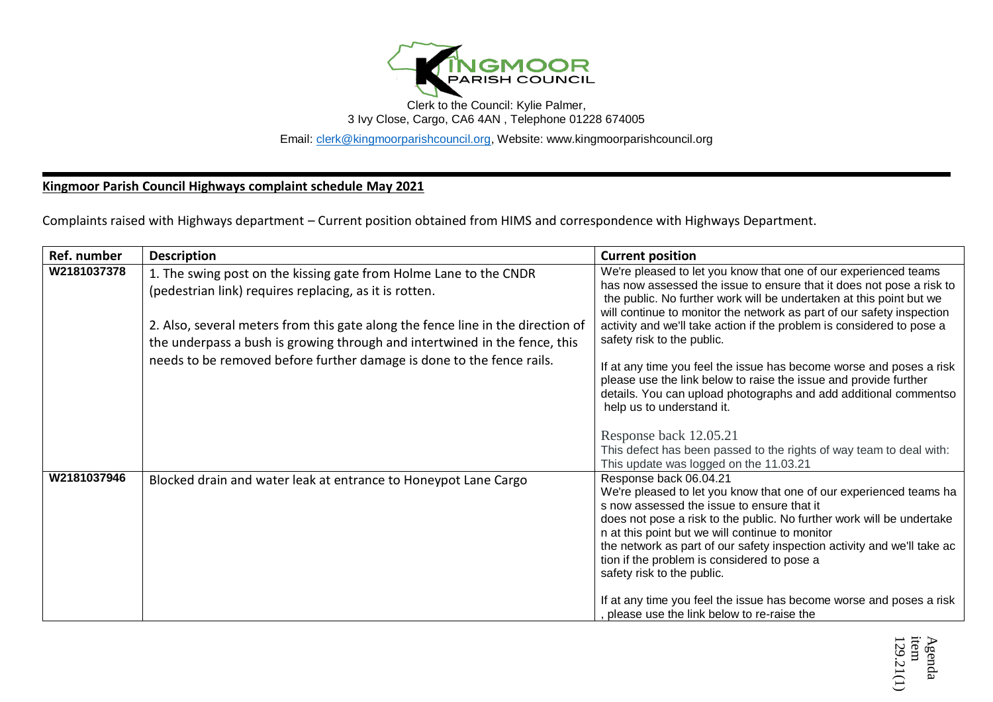

Clerk to the Council: Kylie Palmer, 3 Ivy Close, Cargo, CA6 4AN , Telephone 01228 674005

Email: [clerk@kingmoorparishcouncil.org,](mailto:clerk@kingmoorparishcouncil.org) Website: www.kingmoorparishcouncil.org

**Kingmoor Parish Council Highways complaint schedule May 2021**

Complaints raised with Highways department – Current position obtained from HIMS and correspondence with Highways Department.

| Ref. number | <b>Description</b>                                                                                                                                                                                                                                                                                                                                                    | <b>Current position</b>                                                                                                                                                                                                                                                                                                                                                                                                                                                                                                                                                                                                                    |
|-------------|-----------------------------------------------------------------------------------------------------------------------------------------------------------------------------------------------------------------------------------------------------------------------------------------------------------------------------------------------------------------------|--------------------------------------------------------------------------------------------------------------------------------------------------------------------------------------------------------------------------------------------------------------------------------------------------------------------------------------------------------------------------------------------------------------------------------------------------------------------------------------------------------------------------------------------------------------------------------------------------------------------------------------------|
| W2181037378 | 1. The swing post on the kissing gate from Holme Lane to the CNDR<br>(pedestrian link) requires replacing, as it is rotten.<br>2. Also, several meters from this gate along the fence line in the direction of<br>the underpass a bush is growing through and intertwined in the fence, this<br>needs to be removed before further damage is done to the fence rails. | We're pleased to let you know that one of our experienced teams<br>has now assessed the issue to ensure that it does not pose a risk to<br>the public. No further work will be undertaken at this point but we<br>will continue to monitor the network as part of our safety inspection<br>activity and we'll take action if the problem is considered to pose a<br>safety risk to the public.<br>If at any time you feel the issue has become worse and poses a risk<br>please use the link below to raise the issue and provide further<br>details. You can upload photographs and add additional commentso<br>help us to understand it. |
|             |                                                                                                                                                                                                                                                                                                                                                                       | Response back 12.05.21<br>This defect has been passed to the rights of way team to deal with:<br>This update was logged on the 11.03.21                                                                                                                                                                                                                                                                                                                                                                                                                                                                                                    |
| W2181037946 | Blocked drain and water leak at entrance to Honeypot Lane Cargo                                                                                                                                                                                                                                                                                                       | Response back 06.04.21<br>We're pleased to let you know that one of our experienced teams ha<br>s now assessed the issue to ensure that it<br>does not pose a risk to the public. No further work will be undertake<br>n at this point but we will continue to monitor<br>the network as part of our safety inspection activity and we'll take ac<br>tion if the problem is considered to pose a<br>safety risk to the public.                                                                                                                                                                                                             |
|             |                                                                                                                                                                                                                                                                                                                                                                       | If at any time you feel the issue has become worse and poses a risk<br>please use the link below to re-raise the                                                                                                                                                                                                                                                                                                                                                                                                                                                                                                                           |